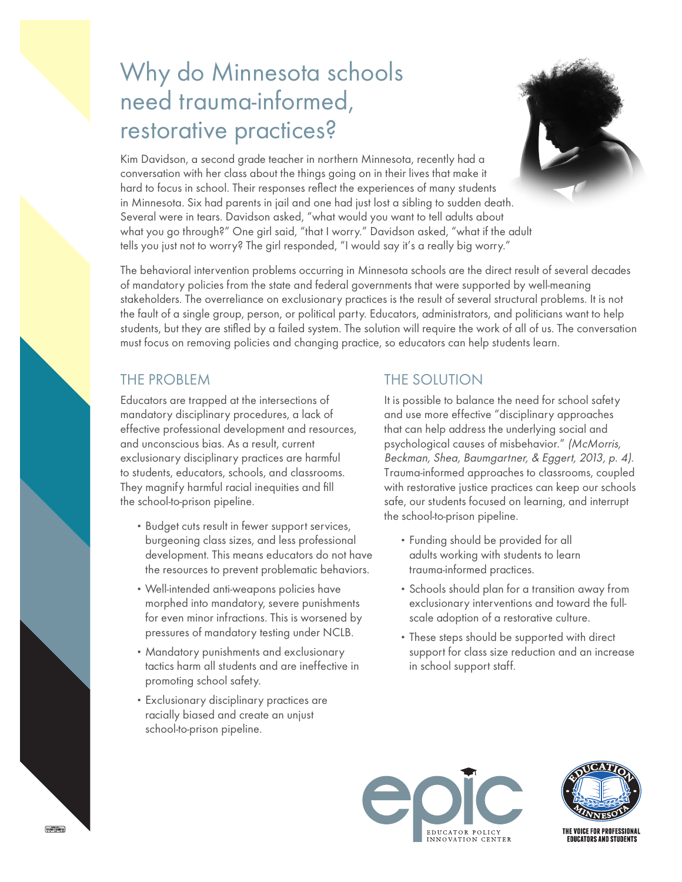# Why do Minnesota schools need trauma-informed, restorative practices?



Kim Davidson, a second grade teacher in northern Minnesota, recently had a conversation with her class about the things going on in their lives that make it hard to focus in school. Their responses reflect the experiences of many students in Minnesota. Six had parents in jail and one had just lost a sibling to sudden death. Several were in tears. Davidson asked, "what would you want to tell adults about what you go through?" One girl said, "that I worry." Davidson asked, "what if the adult tells you just not to worry? The girl responded, "I would say it's a really big worry."

The behavioral intervention problems occurring in Minnesota schools are the direct result of several decades of mandatory policies from the state and federal governments that were supported by well-meaning stakeholders. The overreliance on exclusionary practices is the result of several structural problems. It is not the fault of a single group, person, or political party. Educators, administrators, and politicians want to help students, but they are stifled by a failed system. The solution will require the work of all of us. The conversation must focus on removing policies and changing practice, so educators can help students learn.

### THE PROBLEM

Educators are trapped at the intersections of mandatory disciplinary procedures, a lack of effective professional development and resources, and unconscious bias. As a result, current exclusionary disciplinary practices are harmful to students, educators, schools, and classrooms. They magnify harmful racial inequities and fill the school-to-prison pipeline.

- •Budget cuts result in fewer support services, burgeoning class sizes, and less professional development. This means educators do not have the resources to prevent problematic behaviors.
- Well-intended anti-weapons policies have morphed into mandatory, severe punishments for even minor infractions. This is worsened by pressures of mandatory testing under NCLB.
- Mandatory punishments and exclusionary tactics harm all students and are ineffective in promoting school safety.
- •Exclusionary disciplinary practices are racially biased and create an unjust school-to-prison pipeline.

### THE SOLUTION

It is possible to balance the need for school safety and use more effective "disciplinary approaches that can help address the underlying social and psychological causes of misbehavior." (McMorris, Beckman, Shea, Baumgartner, & Eggert, 2013, p. 4). Trauma-informed approaches to classrooms, coupled with restorative justice practices can keep our schools safe, our students focused on learning, and interrupt the school-to-prison pipeline.

- •Funding should be provided for all adults working with students to learn trauma-informed practices.
- •Schools should plan for a transition away from exclusionary interventions and toward the fullscale adoption of a restorative culture.
- •These steps should be supported with direct support for class size reduction and an increase in school support staff.